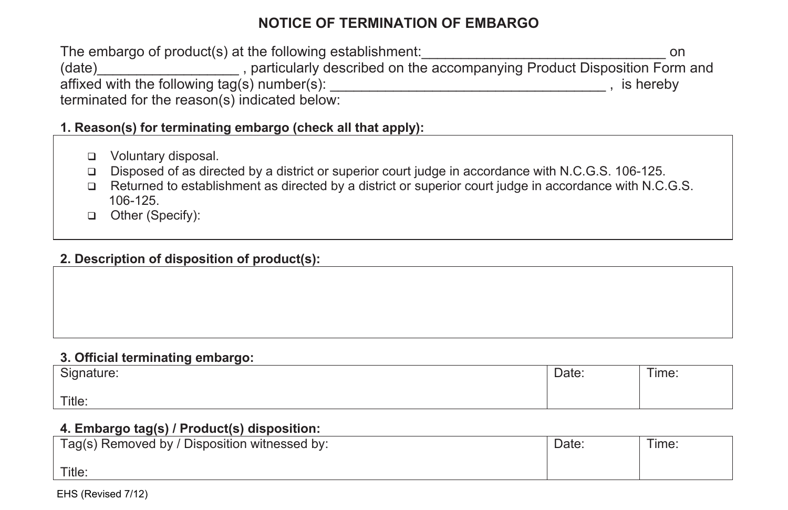# **NOTICE OF TERMINATION OF EMBARGO**

The embargo of product(s) at the following establishment:\_\_\_\_\_\_\_\_\_\_\_\_\_\_\_\_\_\_\_\_\_\_\_\_\_\_\_\_\_\_\_ on (date)\_\_\_\_\_\_\_\_\_\_\_\_\_\_\_\_\_\_ , particularly described on the accompanying Product Disposition Form and affixed with the following tag(s) number(s): \_\_\_\_\_\_\_\_\_\_\_\_\_\_\_\_\_\_\_\_\_\_\_\_\_\_\_\_\_\_\_\_\_\_\_ , is hereby terminated for the reason(s) indicated below:

**1. Reason(s) for terminating embargo (check all that apply):** 

- Voluntary disposal.
- Disposed of as directed by a district or superior court judge in accordance with N.C.G.S. 106-125.
- Returned to establishment as directed by a district or superior court judge in accordance with N.C.G.S. 106-125.
- □ Other (Specify):

## **2. Description of disposition of product(s):**

### **3. Official terminating embargo:**

| Signature: | Date: | $- \cdot$<br>l ime: |
|------------|-------|---------------------|
| Title:     |       |                     |

## **4. Embargo tag(s) / Product(s) disposition:**

| Tag(s) Removed by / Disposition witnessed by: | Date: | Time: |
|-----------------------------------------------|-------|-------|
| Title:                                        |       |       |

EHS (Revised 7/12)